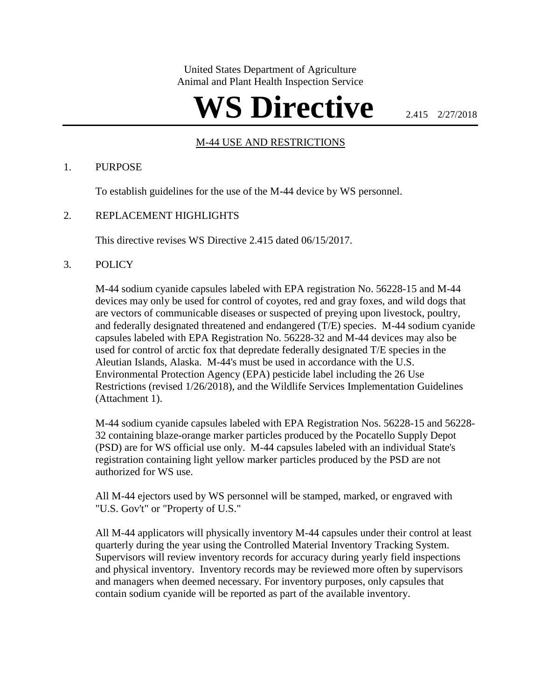United States Department of Agriculture Animal and Plant Health Inspection Service

# WS Directive **2.415 2/27/2018**

## UM-44 USE AND RESTRICTIONS

#### 1. PURPOSE

To establish guidelines for the use of the M-44 device by WS personnel.

#### 2. REPLACEMENT HIGHLIGHTS

This directive revises WS Directive 2.415 dated 06/15/2017.

#### 3. POLICY

M-44 sodium cyanide capsules labeled with EPA registration No. 56228-15 and M-44 devices may only be used for control of coyotes, red and gray foxes, and wild dogs that are vectors of communicable diseases or suspected of preying upon livestock, poultry, and federally designated threatened and endangered (T/E) species. M-44 sodium cyanide capsules labeled with EPA Registration No. 56228-32 and M-44 devices may also be used for control of arctic fox that depredate federally designated T/E species in the Aleutian Islands, Alaska. M-44's must be used in accordance with the U.S. Environmental Protection Agency (EPA) pesticide label including the 26 Use Restrictions (revised 1/26/2018), and the Wildlife Services Implementation Guidelines (Attachment 1).

M-44 sodium cyanide capsules labeled with EPA Registration Nos. 56228-15 and 56228- 32 containing blaze-orange marker particles produced by the Pocatello Supply Depot (PSD) are for WS official use only. M-44 capsules labeled with an individual State's registration containing light yellow marker particles produced by the PSD are not authorized for WS use.

All M-44 ejectors used by WS personnel will be stamped, marked, or engraved with "U.S. Gov't" or "Property of U.S."

All M-44 applicators will physically inventory M-44 capsules under their control at least quarterly during the year using the Controlled Material Inventory Tracking System. Supervisors will review inventory records for accuracy during yearly field inspections and physical inventory. Inventory records may be reviewed more often by supervisors and managers when deemed necessary. For inventory purposes, only capsules that contain sodium cyanide will be reported as part of the available inventory.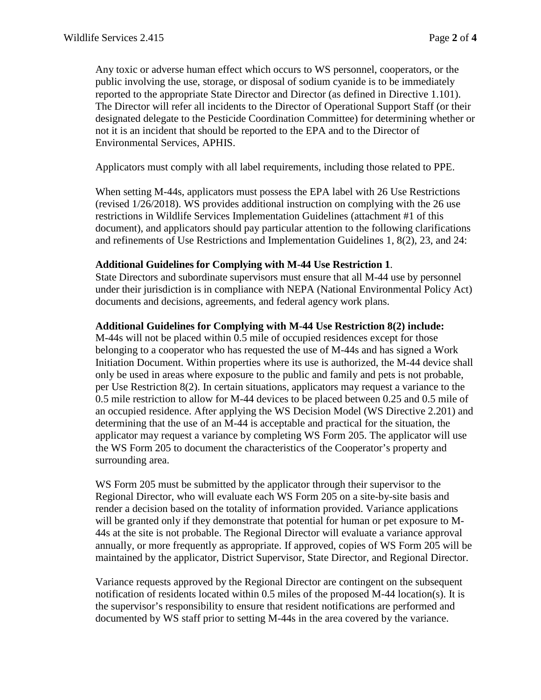Any toxic or adverse human effect which occurs to WS personnel, cooperators, or the public involving the use, storage, or disposal of sodium cyanide is to be immediately reported to the appropriate State Director and Director (as defined in Directive 1.101). The Director will refer all incidents to the Director of Operational Support Staff (or their designated delegate to the Pesticide Coordination Committee) for determining whether or not it is an incident that should be reported to the EPA and to the Director of Environmental Services, APHIS.

Applicators must comply with all label requirements, including those related to PPE.

When setting M-44s, applicators must possess the EPA label with 26 Use Restrictions (revised 1/26/2018). WS provides additional instruction on complying with the 26 use restrictions in Wildlife Services Implementation Guidelines (attachment #1 of this document), and applicators should pay particular attention to the following clarifications and refinements of Use Restrictions and Implementation Guidelines 1, 8(2), 23, and 24:

#### **Additional Guidelines for Complying with M-44 Use Restriction 1**.

State Directors and subordinate supervisors must ensure that all M-44 use by personnel under their jurisdiction is in compliance with NEPA (National Environmental Policy Act) documents and decisions, agreements, and federal agency work plans.

### **Additional Guidelines for Complying with M-44 Use Restriction 8(2) include:**

M-44s will not be placed within 0.5 mile of occupied residences except for those belonging to a cooperator who has requested the use of M-44s and has signed a Work Initiation Document. Within properties where its use is authorized, the M-44 device shall only be used in areas where exposure to the public and family and pets is not probable, per Use Restriction 8(2). In certain situations, applicators may request a variance to the 0.5 mile restriction to allow for M-44 devices to be placed between 0.25 and 0.5 mile of an occupied residence. After applying the WS Decision Model (WS Directive 2.201) and determining that the use of an M-44 is acceptable and practical for the situation, the applicator may request a variance by completing WS Form 205. The applicator will use the WS Form 205 to document the characteristics of the Cooperator's property and surrounding area.

WS Form 205 must be submitted by the applicator through their supervisor to the Regional Director, who will evaluate each WS Form 205 on a site-by-site basis and render a decision based on the totality of information provided. Variance applications will be granted only if they demonstrate that potential for human or pet exposure to M-44s at the site is not probable. The Regional Director will evaluate a variance approval annually, or more frequently as appropriate. If approved, copies of WS Form 205 will be maintained by the applicator, District Supervisor, State Director, and Regional Director.

Variance requests approved by the Regional Director are contingent on the subsequent notification of residents located within 0.5 miles of the proposed M-44 location(s). It is the supervisor's responsibility to ensure that resident notifications are performed and documented by WS staff prior to setting M-44s in the area covered by the variance.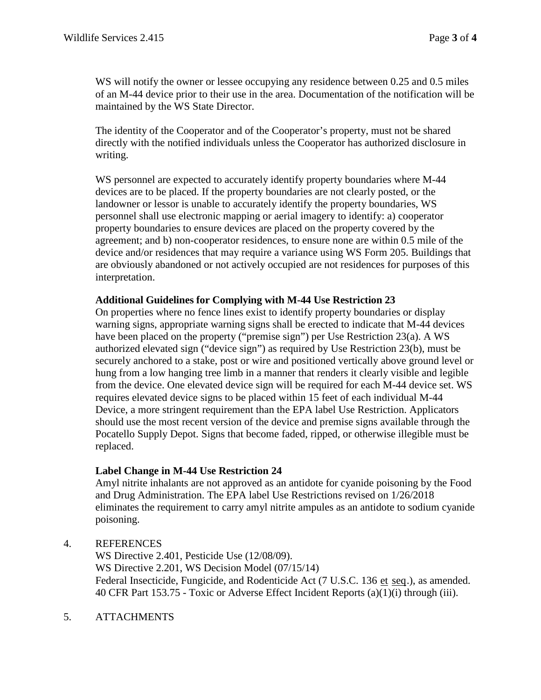WS will notify the owner or lessee occupying any residence between 0.25 and 0.5 miles of an M-44 device prior to their use in the area. Documentation of the notification will be maintained by the WS State Director.

The identity of the Cooperator and of the Cooperator's property, must not be shared directly with the notified individuals unless the Cooperator has authorized disclosure in writing.

WS personnel are expected to accurately identify property boundaries where M-44 devices are to be placed. If the property boundaries are not clearly posted, or the landowner or lessor is unable to accurately identify the property boundaries, WS personnel shall use electronic mapping or aerial imagery to identify: a) cooperator property boundaries to ensure devices are placed on the property covered by the agreement; and b) non-cooperator residences, to ensure none are within 0.5 mile of the device and/or residences that may require a variance using WS Form 205. Buildings that are obviously abandoned or not actively occupied are not residences for purposes of this interpretation.

# **Additional Guidelines for Complying with M-44 Use Restriction 23**

On properties where no fence lines exist to identify property boundaries or display warning signs, appropriate warning signs shall be erected to indicate that M-44 devices have been placed on the property ("premise sign") per Use Restriction 23(a). A WS authorized elevated sign ("device sign") as required by Use Restriction 23(b), must be securely anchored to a stake, post or wire and positioned vertically above ground level or hung from a low hanging tree limb in a manner that renders it clearly visible and legible from the device. One elevated device sign will be required for each M-44 device set. WS requires elevated device signs to be placed within 15 feet of each individual M-44 Device, a more stringent requirement than the EPA label Use Restriction. Applicators should use the most recent version of the device and premise signs available through the Pocatello Supply Depot. Signs that become faded, ripped, or otherwise illegible must be replaced.

# **Label Change in M-44 Use Restriction 24**

Amyl nitrite inhalants are not approved as an antidote for cyanide poisoning by the Food and Drug Administration. The EPA label Use Restrictions revised on 1/26/2018 eliminates the requirement to carry amyl nitrite ampules as an antidote to sodium cyanide poisoning.

4. REFERENCES

WS Directive 2.401, Pesticide Use (12/08/09). WS Directive 2.201, WS Decision Model (07/15/14) Federal Insecticide, Fungicide, and Rodenticide Act (7 U.S.C. 136 et seq.), as amended. 40 CFR Part 153.75 - Toxic or Adverse Effect Incident Reports (a)(1)(i) through (iii).

5. ATTACHMENTS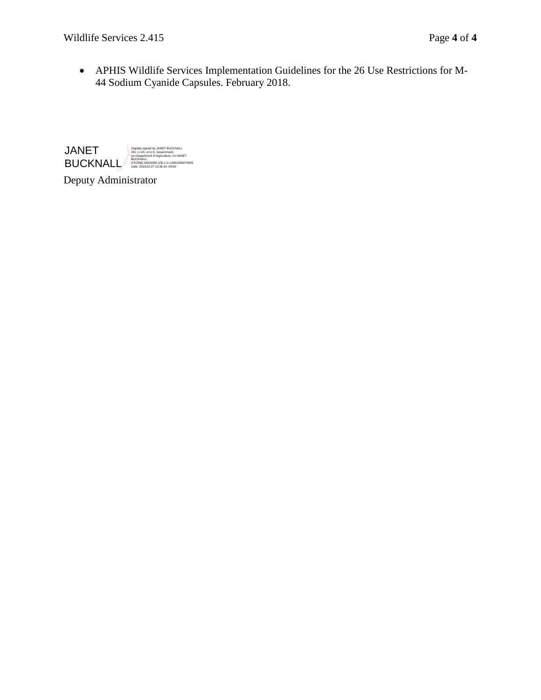• APHIS Wildlife Services Implementation Guidelines for the 26 Use Restrictions for M-44 Sodium Cyanide Capsules. February 2018.

JANET **BUCKNALL**<br>
Date: 2018.02.27 13:36:14 -05'00'<br>
Date: 2018.02.27 13:36:14 -05'00' Digitally signed by JANET BUCKNALL DN: c=US, o=U.S. Government,

Deputy Administrator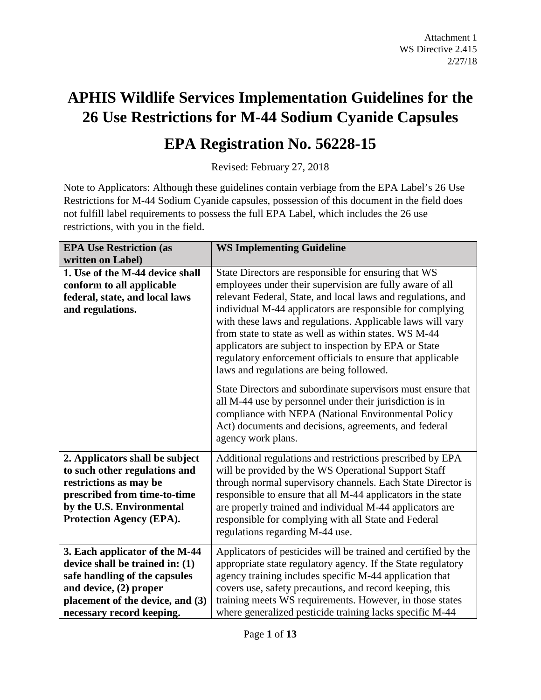# **APHIS Wildlife Services Implementation Guidelines for the 26 Use Restrictions for M-44 Sodium Cyanide Capsules**

# **EPA Registration No. 56228-15**

Revised: February 27, 2018

Note to Applicators: Although these guidelines contain verbiage from the EPA Label's 26 Use Restrictions for M-44 Sodium Cyanide capsules, possession of this document in the field does not fulfill label requirements to possess the full EPA Label, which includes the 26 use restrictions, with you in the field.

| <b>EPA Use Restriction (as</b>                                                                                                                                                                | <b>WS Implementing Guideline</b>                                                                                                                                                                                                                                                                                                                                                                                                                                                                                                        |
|-----------------------------------------------------------------------------------------------------------------------------------------------------------------------------------------------|-----------------------------------------------------------------------------------------------------------------------------------------------------------------------------------------------------------------------------------------------------------------------------------------------------------------------------------------------------------------------------------------------------------------------------------------------------------------------------------------------------------------------------------------|
| written on Label)                                                                                                                                                                             |                                                                                                                                                                                                                                                                                                                                                                                                                                                                                                                                         |
| 1. Use of the M-44 device shall<br>conform to all applicable<br>federal, state, and local laws<br>and regulations.                                                                            | State Directors are responsible for ensuring that WS<br>employees under their supervision are fully aware of all<br>relevant Federal, State, and local laws and regulations, and<br>individual M-44 applicators are responsible for complying<br>with these laws and regulations. Applicable laws will vary<br>from state to state as well as within states. WS M-44<br>applicators are subject to inspection by EPA or State<br>regulatory enforcement officials to ensure that applicable<br>laws and regulations are being followed. |
|                                                                                                                                                                                               | State Directors and subordinate supervisors must ensure that<br>all M-44 use by personnel under their jurisdiction is in<br>compliance with NEPA (National Environmental Policy<br>Act) documents and decisions, agreements, and federal<br>agency work plans.                                                                                                                                                                                                                                                                          |
| 2. Applicators shall be subject<br>to such other regulations and<br>restrictions as may be<br>prescribed from time-to-time<br>by the U.S. Environmental<br>Protection Agency (EPA).           | Additional regulations and restrictions prescribed by EPA<br>will be provided by the WS Operational Support Staff<br>through normal supervisory channels. Each State Director is<br>responsible to ensure that all M-44 applicators in the state<br>are properly trained and individual M-44 applicators are<br>responsible for complying with all State and Federal<br>regulations regarding M-44 use.                                                                                                                                 |
| 3. Each applicator of the M-44<br>device shall be trained in: (1)<br>safe handling of the capsules<br>and device, (2) proper<br>placement of the device, and (3)<br>necessary record keeping. | Applicators of pesticides will be trained and certified by the<br>appropriate state regulatory agency. If the State regulatory<br>agency training includes specific M-44 application that<br>covers use, safety precautions, and record keeping, this<br>training meets WS requirements. However, in those states<br>where generalized pesticide training lacks specific M-44                                                                                                                                                           |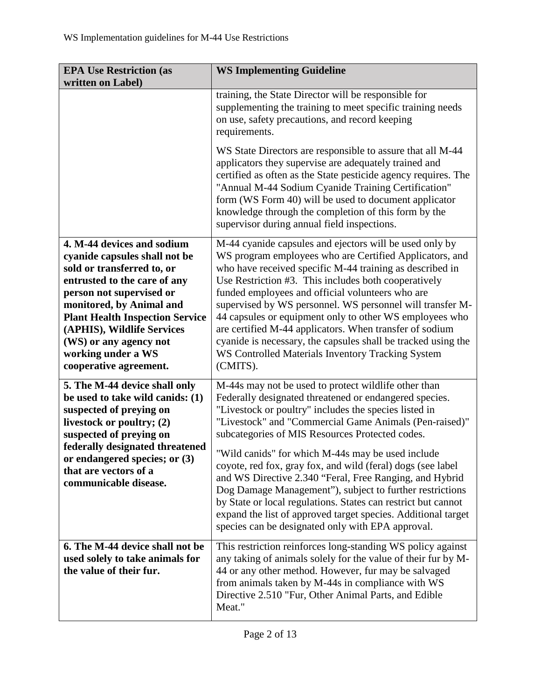| <b>EPA Use Restriction (as</b><br>written on Label)                                                                                                                                                                                                                                                                                 | <b>WS Implementing Guideline</b>                                                                                                                                                                                                                                                                                                                                                                                                                                                                                                                                                                                                                                                                                       |
|-------------------------------------------------------------------------------------------------------------------------------------------------------------------------------------------------------------------------------------------------------------------------------------------------------------------------------------|------------------------------------------------------------------------------------------------------------------------------------------------------------------------------------------------------------------------------------------------------------------------------------------------------------------------------------------------------------------------------------------------------------------------------------------------------------------------------------------------------------------------------------------------------------------------------------------------------------------------------------------------------------------------------------------------------------------------|
|                                                                                                                                                                                                                                                                                                                                     | training, the State Director will be responsible for<br>supplementing the training to meet specific training needs<br>on use, safety precautions, and record keeping<br>requirements.                                                                                                                                                                                                                                                                                                                                                                                                                                                                                                                                  |
| supervisor during annual field inspections.                                                                                                                                                                                                                                                                                         | WS State Directors are responsible to assure that all M-44<br>applicators they supervise are adequately trained and<br>certified as often as the State pesticide agency requires. The<br>"Annual M-44 Sodium Cyanide Training Certification"<br>form (WS Form 40) will be used to document applicator<br>knowledge through the completion of this form by the                                                                                                                                                                                                                                                                                                                                                          |
| 4. M-44 devices and sodium<br>cyanide capsules shall not be<br>sold or transferred to, or<br>entrusted to the care of any<br>person not supervised or<br>monitored, by Animal and<br><b>Plant Health Inspection Service</b><br>(APHIS), Wildlife Services<br>(WS) or any agency not<br>working under a WS<br>cooperative agreement. | M-44 cyanide capsules and ejectors will be used only by<br>WS program employees who are Certified Applicators, and<br>who have received specific M-44 training as described in<br>Use Restriction #3. This includes both cooperatively<br>funded employees and official volunteers who are<br>supervised by WS personnel. WS personnel will transfer M-<br>44 capsules or equipment only to other WS employees who<br>are certified M-44 applicators. When transfer of sodium<br>cyanide is necessary, the capsules shall be tracked using the<br>WS Controlled Materials Inventory Tracking System<br>(CMITS).                                                                                                        |
| 5. The M-44 device shall only<br>be used to take wild canids: (1)<br>suspected of preying on<br>livestock or poultry; (2)<br>suspected of preying on<br>federally designated threatened<br>or endangered species; or (3)<br>that are vectors of a<br>communicable disease.                                                          | M-44s may not be used to protect wildlife other than<br>Federally designated threatened or endangered species.<br>"Livestock or poultry" includes the species listed in<br>"Livestock" and "Commercial Game Animals (Pen-raised)"<br>subcategories of MIS Resources Protected codes.<br>"Wild canids" for which M-44s may be used include<br>coyote, red fox, gray fox, and wild (feral) dogs (see label<br>and WS Directive 2.340 "Feral, Free Ranging, and Hybrid<br>Dog Damage Management"), subject to further restrictions<br>by State or local regulations. States can restrict but cannot<br>expand the list of approved target species. Additional target<br>species can be designated only with EPA approval. |
| 6. The M-44 device shall not be<br>used solely to take animals for<br>the value of their fur.                                                                                                                                                                                                                                       | This restriction reinforces long-standing WS policy against<br>any taking of animals solely for the value of their fur by M-<br>44 or any other method. However, fur may be salvaged<br>from animals taken by M-44s in compliance with WS<br>Directive 2.510 "Fur, Other Animal Parts, and Edible<br>Meat."                                                                                                                                                                                                                                                                                                                                                                                                            |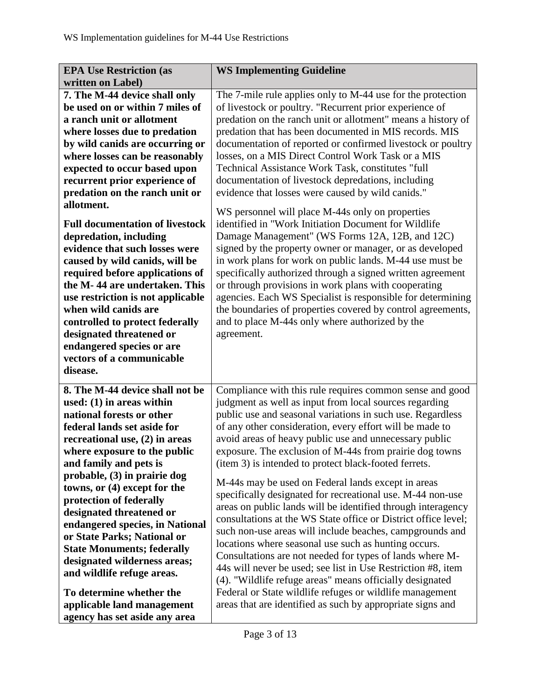| <b>EPA Use Restriction (as</b>                                   | <b>WS Implementing Guideline</b>                                                                                   |
|------------------------------------------------------------------|--------------------------------------------------------------------------------------------------------------------|
| written on Label)                                                |                                                                                                                    |
| 7. The M-44 device shall only                                    | The 7-mile rule applies only to M-44 use for the protection                                                        |
| be used on or within 7 miles of                                  | of livestock or poultry. "Recurrent prior experience of                                                            |
| a ranch unit or allotment                                        | predation on the ranch unit or allotment" means a history of                                                       |
| where losses due to predation                                    | predation that has been documented in MIS records. MIS                                                             |
| by wild canids are occurring or                                  | documentation of reported or confirmed livestock or poultry                                                        |
| where losses can be reasonably                                   | losses, on a MIS Direct Control Work Task or a MIS                                                                 |
| expected to occur based upon                                     | Technical Assistance Work Task, constitutes "full                                                                  |
| recurrent prior experience of                                    | documentation of livestock depredations, including                                                                 |
| predation on the ranch unit or                                   | evidence that losses were caused by wild canids."                                                                  |
| allotment.                                                       |                                                                                                                    |
|                                                                  | WS personnel will place M-44s only on properties                                                                   |
| <b>Full documentation of livestock</b>                           | identified in "Work Initiation Document for Wildlife                                                               |
| depredation, including<br>evidence that such losses were         | Damage Management" (WS Forms 12A, 12B, and 12C)                                                                    |
|                                                                  | signed by the property owner or manager, or as developed                                                           |
| caused by wild canids, will be                                   | in work plans for work on public lands. M-44 use must be                                                           |
| required before applications of<br>the M-44 are undertaken. This | specifically authorized through a signed written agreement<br>or through provisions in work plans with cooperating |
|                                                                  | agencies. Each WS Specialist is responsible for determining                                                        |
| use restriction is not applicable<br>when wild canids are        | the boundaries of properties covered by control agreements,                                                        |
| controlled to protect federally                                  | and to place M-44s only where authorized by the                                                                    |
| designated threatened or                                         | agreement.                                                                                                         |
| endangered species or are                                        |                                                                                                                    |
| vectors of a communicable                                        |                                                                                                                    |
| disease.                                                         |                                                                                                                    |
|                                                                  |                                                                                                                    |
| 8. The M-44 device shall not be                                  | Compliance with this rule requires common sense and good                                                           |
| used: $(1)$ in areas within                                      | judgment as well as input from local sources regarding                                                             |
| national forests or other                                        | public use and seasonal variations in such use. Regardless                                                         |
| federal lands set aside for                                      | of any other consideration, every effort will be made to                                                           |
| recreational use, $(2)$ in areas                                 | avoid areas of heavy public use and unnecessary public                                                             |
| where exposure to the public                                     | exposure. The exclusion of M-44s from prairie dog towns                                                            |
| and family and pets is                                           | (item 3) is intended to protect black-footed ferrets.                                                              |
| probable, (3) in prairie dog                                     | M-44s may be used on Federal lands except in areas                                                                 |
| towns, or (4) except for the                                     | specifically designated for recreational use. M-44 non-use                                                         |
| protection of federally                                          | areas on public lands will be identified through interagency                                                       |
| designated threatened or                                         | consultations at the WS State office or District office level;                                                     |
| endangered species, in National                                  | such non-use areas will include beaches, campgrounds and                                                           |
| or State Parks; National or                                      | locations where seasonal use such as hunting occurs.                                                               |
| <b>State Monuments; federally</b>                                | Consultations are not needed for types of lands where M-                                                           |
| designated wilderness areas;                                     | 44s will never be used; see list in Use Restriction #8, item                                                       |
| and wildlife refuge areas.                                       | (4). "Wildlife refuge areas" means officially designated                                                           |
| To determine whether the                                         | Federal or State wildlife refuges or wildlife management                                                           |
| applicable land management                                       | areas that are identified as such by appropriate signs and                                                         |
| agency has set aside any area                                    |                                                                                                                    |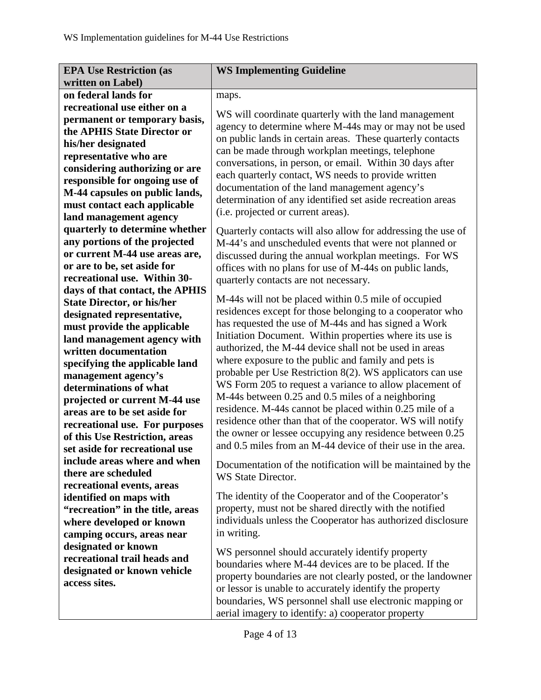| <b>EPA Use Restriction (as</b>    | <b>WS Implementing Guideline</b>                                                                                    |
|-----------------------------------|---------------------------------------------------------------------------------------------------------------------|
| written on Label)                 |                                                                                                                     |
| on federal lands for              | maps.                                                                                                               |
| recreational use either on a      |                                                                                                                     |
| permanent or temporary basis,     | WS will coordinate quarterly with the land management                                                               |
| the APHIS State Director or       | agency to determine where M-44s may or may not be used                                                              |
| his/her designated                | on public lands in certain areas. These quarterly contacts                                                          |
| representative who are            | can be made through workplan meetings, telephone                                                                    |
| considering authorizing or are    | conversations, in person, or email. Within 30 days after                                                            |
| responsible for ongoing use of    | each quarterly contact, WS needs to provide written                                                                 |
| M-44 capsules on public lands,    | documentation of the land management agency's                                                                       |
| must contact each applicable      | determination of any identified set aside recreation areas                                                          |
| land management agency            | (i.e. projected or current areas).                                                                                  |
| quarterly to determine whether    | Quarterly contacts will also allow for addressing the use of                                                        |
| any portions of the projected     | M-44's and unscheduled events that were not planned or                                                              |
| or current M-44 use areas are,    | discussed during the annual workplan meetings. For WS                                                               |
| or are to be, set aside for       | offices with no plans for use of M-44s on public lands,                                                             |
| recreational use. Within 30-      | quarterly contacts are not necessary.                                                                               |
| days of that contact, the APHIS   |                                                                                                                     |
| <b>State Director, or his/her</b> | M-44s will not be placed within 0.5 mile of occupied                                                                |
| designated representative,        | residences except for those belonging to a cooperator who                                                           |
| must provide the applicable       | has requested the use of M-44s and has signed a Work                                                                |
| land management agency with       | Initiation Document. Within properties where its use is                                                             |
| written documentation             | authorized, the M-44 device shall not be used in areas                                                              |
| specifying the applicable land    | where exposure to the public and family and pets is                                                                 |
| management agency's               | probable per Use Restriction 8(2). WS applicators can use                                                           |
| determinations of what            | WS Form 205 to request a variance to allow placement of                                                             |
| projected or current M-44 use     | M-44s between 0.25 and 0.5 miles of a neighboring                                                                   |
| areas are to be set aside for     | residence. M-44s cannot be placed within 0.25 mile of a                                                             |
| recreational use. For purposes    | residence other than that of the cooperator. WS will notify                                                         |
| of this Use Restriction, areas    | the owner or lessee occupying any residence between 0.25                                                            |
| set aside for recreational use    | and 0.5 miles from an M-44 device of their use in the area.                                                         |
| include areas where and when      | Documentation of the notification will be maintained by the                                                         |
| there are scheduled               | WS State Director.                                                                                                  |
| recreational events, areas        |                                                                                                                     |
| identified on maps with           | The identity of the Cooperator and of the Cooperator's                                                              |
| "recreation" in the title, areas  | property, must not be shared directly with the notified                                                             |
| where developed or known          | individuals unless the Cooperator has authorized disclosure                                                         |
| camping occurs, areas near        | in writing.                                                                                                         |
| designated or known               |                                                                                                                     |
| recreational trail heads and      |                                                                                                                     |
|                                   | WS personnel should accurately identify property                                                                    |
| designated or known vehicle       | boundaries where M-44 devices are to be placed. If the                                                              |
| access sites.                     | property boundaries are not clearly posted, or the landowner                                                        |
|                                   | or lessor is unable to accurately identify the property<br>boundaries, WS personnel shall use electronic mapping or |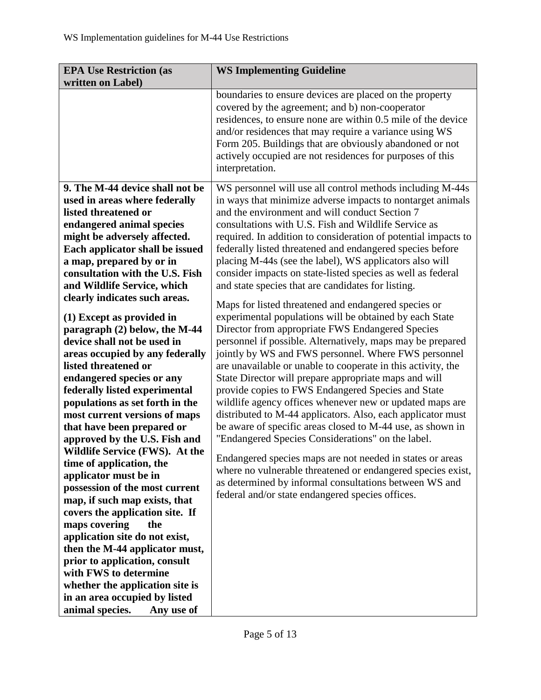| <b>EPA Use Restriction (as</b>                                                                                                                                                                                                                                                                                                                                                                                                                                                                                                                                                                                                                                                                                                                                                                                                                                                                                                                                                                                                                                                                          | <b>WS Implementing Guideline</b>                                                                                                                                                                                                                                                                                                                                                                                                                                                                                                                                                                                                                                                                                                                                                                                                                                                                                                                                                                                                                                                                                                                                                                                                                                                                                                                                                                                                                                                                                     |
|---------------------------------------------------------------------------------------------------------------------------------------------------------------------------------------------------------------------------------------------------------------------------------------------------------------------------------------------------------------------------------------------------------------------------------------------------------------------------------------------------------------------------------------------------------------------------------------------------------------------------------------------------------------------------------------------------------------------------------------------------------------------------------------------------------------------------------------------------------------------------------------------------------------------------------------------------------------------------------------------------------------------------------------------------------------------------------------------------------|----------------------------------------------------------------------------------------------------------------------------------------------------------------------------------------------------------------------------------------------------------------------------------------------------------------------------------------------------------------------------------------------------------------------------------------------------------------------------------------------------------------------------------------------------------------------------------------------------------------------------------------------------------------------------------------------------------------------------------------------------------------------------------------------------------------------------------------------------------------------------------------------------------------------------------------------------------------------------------------------------------------------------------------------------------------------------------------------------------------------------------------------------------------------------------------------------------------------------------------------------------------------------------------------------------------------------------------------------------------------------------------------------------------------------------------------------------------------------------------------------------------------|
| written on Label)                                                                                                                                                                                                                                                                                                                                                                                                                                                                                                                                                                                                                                                                                                                                                                                                                                                                                                                                                                                                                                                                                       |                                                                                                                                                                                                                                                                                                                                                                                                                                                                                                                                                                                                                                                                                                                                                                                                                                                                                                                                                                                                                                                                                                                                                                                                                                                                                                                                                                                                                                                                                                                      |
|                                                                                                                                                                                                                                                                                                                                                                                                                                                                                                                                                                                                                                                                                                                                                                                                                                                                                                                                                                                                                                                                                                         | boundaries to ensure devices are placed on the property<br>covered by the agreement; and b) non-cooperator<br>residences, to ensure none are within 0.5 mile of the device<br>and/or residences that may require a variance using WS<br>Form 205. Buildings that are obviously abandoned or not<br>actively occupied are not residences for purposes of this<br>interpretation.                                                                                                                                                                                                                                                                                                                                                                                                                                                                                                                                                                                                                                                                                                                                                                                                                                                                                                                                                                                                                                                                                                                                      |
| 9. The M-44 device shall not be<br>used in areas where federally<br>listed threatened or<br>endangered animal species<br>might be adversely affected.<br>Each applicator shall be issued<br>a map, prepared by or in<br>consultation with the U.S. Fish<br>and Wildlife Service, which<br>clearly indicates such areas.<br>(1) Except as provided in<br>paragraph (2) below, the M-44<br>device shall not be used in<br>areas occupied by any federally<br>listed threatened or<br>endangered species or any<br>federally listed experimental<br>populations as set forth in the<br>most current versions of maps<br>that have been prepared or<br>approved by the U.S. Fish and<br>Wildlife Service (FWS). At the<br>time of application, the<br>applicator must be in<br>possession of the most current<br>map, if such map exists, that<br>covers the application site. If<br>maps covering<br>the<br>application site do not exist,<br>then the M-44 applicator must,<br>prior to application, consult<br>with FWS to determine<br>whether the application site is<br>in an area occupied by listed | WS personnel will use all control methods including M-44s<br>in ways that minimize adverse impacts to nontarget animals<br>and the environment and will conduct Section 7<br>consultations with U.S. Fish and Wildlife Service as<br>required. In addition to consideration of potential impacts to<br>federally listed threatened and endangered species before<br>placing M-44s (see the label), WS applicators also will<br>consider impacts on state-listed species as well as federal<br>and state species that are candidates for listing.<br>Maps for listed threatened and endangered species or<br>experimental populations will be obtained by each State<br>Director from appropriate FWS Endangered Species<br>personnel if possible. Alternatively, maps may be prepared<br>jointly by WS and FWS personnel. Where FWS personnel<br>are unavailable or unable to cooperate in this activity, the<br>State Director will prepare appropriate maps and will<br>provide copies to FWS Endangered Species and State<br>wildlife agency offices whenever new or updated maps are<br>distributed to M-44 applicators. Also, each applicator must<br>be aware of specific areas closed to M-44 use, as shown in<br>"Endangered Species Considerations" on the label.<br>Endangered species maps are not needed in states or areas<br>where no vulnerable threatened or endangered species exist,<br>as determined by informal consultations between WS and<br>federal and/or state endangered species offices. |
| animal species.<br>Any use of                                                                                                                                                                                                                                                                                                                                                                                                                                                                                                                                                                                                                                                                                                                                                                                                                                                                                                                                                                                                                                                                           |                                                                                                                                                                                                                                                                                                                                                                                                                                                                                                                                                                                                                                                                                                                                                                                                                                                                                                                                                                                                                                                                                                                                                                                                                                                                                                                                                                                                                                                                                                                      |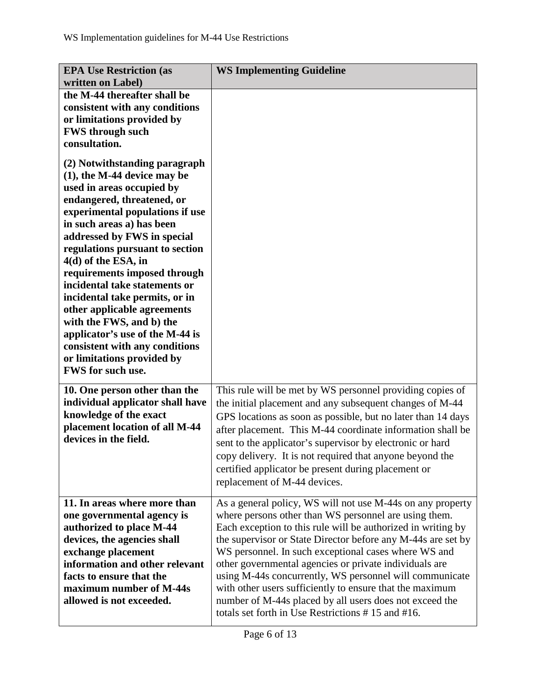| <b>EPA Use Restriction (as</b><br>written on Label)                                                                                                                                                                                                                                                                                                                                                                                                                                                                                                                              | <b>WS Implementing Guideline</b>                                                                                                                                                                                                                                                                                                                                                                                                                                                                                                                                                                             |
|----------------------------------------------------------------------------------------------------------------------------------------------------------------------------------------------------------------------------------------------------------------------------------------------------------------------------------------------------------------------------------------------------------------------------------------------------------------------------------------------------------------------------------------------------------------------------------|--------------------------------------------------------------------------------------------------------------------------------------------------------------------------------------------------------------------------------------------------------------------------------------------------------------------------------------------------------------------------------------------------------------------------------------------------------------------------------------------------------------------------------------------------------------------------------------------------------------|
| the M-44 thereafter shall be<br>consistent with any conditions<br>or limitations provided by<br><b>FWS through such</b><br>consultation.                                                                                                                                                                                                                                                                                                                                                                                                                                         |                                                                                                                                                                                                                                                                                                                                                                                                                                                                                                                                                                                                              |
| (2) Notwithstanding paragraph<br>$(1)$ , the M-44 device may be<br>used in areas occupied by<br>endangered, threatened, or<br>experimental populations if use<br>in such areas a) has been<br>addressed by FWS in special<br>regulations pursuant to section<br>4(d) of the ESA, in<br>requirements imposed through<br>incidental take statements or<br>incidental take permits, or in<br>other applicable agreements<br>with the FWS, and b) the<br>applicator's use of the M-44 is<br>consistent with any conditions<br>or limitations provided by<br><b>FWS</b> for such use. |                                                                                                                                                                                                                                                                                                                                                                                                                                                                                                                                                                                                              |
| 10. One person other than the<br>individual applicator shall have<br>knowledge of the exact<br>placement location of all M-44<br>devices in the field.                                                                                                                                                                                                                                                                                                                                                                                                                           | This rule will be met by WS personnel providing copies of<br>the initial placement and any subsequent changes of M-44<br>GPS locations as soon as possible, but no later than 14 days<br>after placement. This M-44 coordinate information shall be<br>sent to the applicator's supervisor by electronic or hard<br>copy delivery. It is not required that anyone beyond the<br>certified applicator be present during placement or<br>replacement of M-44 devices.                                                                                                                                          |
| 11. In areas where more than<br>one governmental agency is<br>authorized to place M-44<br>devices, the agencies shall<br>exchange placement<br>information and other relevant<br>facts to ensure that the<br>maximum number of M-44s<br>allowed is not exceeded.                                                                                                                                                                                                                                                                                                                 | As a general policy, WS will not use M-44s on any property<br>where persons other than WS personnel are using them.<br>Each exception to this rule will be authorized in writing by<br>the supervisor or State Director before any M-44s are set by<br>WS personnel. In such exceptional cases where WS and<br>other governmental agencies or private individuals are<br>using M-44s concurrently, WS personnel will communicate<br>with other users sufficiently to ensure that the maximum<br>number of M-44s placed by all users does not exceed the<br>totals set forth in Use Restrictions #15 and #16. |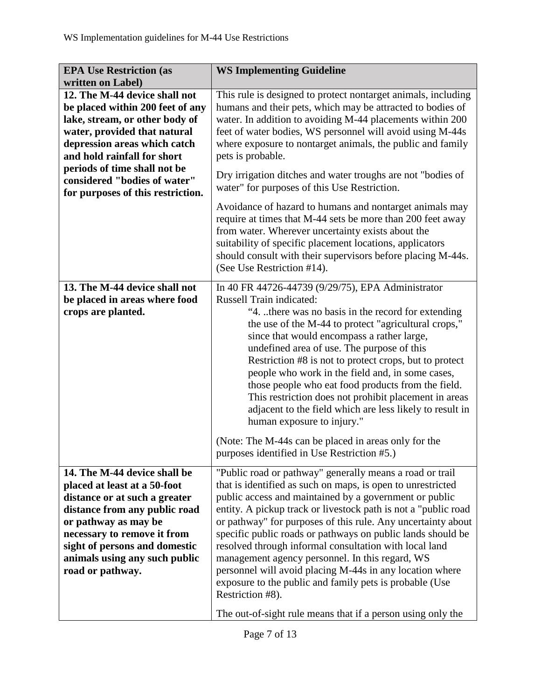| <b>EPA Use Restriction (as</b>                                                                                                                                                                                                                                                                          | <b>WS Implementing Guideline</b>                                                                                                                                                                                                                                                                                                                                                                                                                                                                                                                                                                                                                                                                                             |
|---------------------------------------------------------------------------------------------------------------------------------------------------------------------------------------------------------------------------------------------------------------------------------------------------------|------------------------------------------------------------------------------------------------------------------------------------------------------------------------------------------------------------------------------------------------------------------------------------------------------------------------------------------------------------------------------------------------------------------------------------------------------------------------------------------------------------------------------------------------------------------------------------------------------------------------------------------------------------------------------------------------------------------------------|
| written on Label)                                                                                                                                                                                                                                                                                       |                                                                                                                                                                                                                                                                                                                                                                                                                                                                                                                                                                                                                                                                                                                              |
| 12. The M-44 device shall not<br>be placed within 200 feet of any<br>lake, stream, or other body of<br>water, provided that natural<br>depression areas which catch<br>and hold rainfall for short<br>periods of time shall not be<br>considered "bodies of water"<br>for purposes of this restriction. | This rule is designed to protect nontarget animals, including<br>humans and their pets, which may be attracted to bodies of<br>water. In addition to avoiding M-44 placements within 200<br>feet of water bodies, WS personnel will avoid using M-44s<br>where exposure to nontarget animals, the public and family<br>pets is probable.<br>Dry irrigation ditches and water troughs are not "bodies of<br>water" for purposes of this Use Restriction.                                                                                                                                                                                                                                                                      |
|                                                                                                                                                                                                                                                                                                         | Avoidance of hazard to humans and nontarget animals may<br>require at times that M-44 sets be more than 200 feet away<br>from water. Wherever uncertainty exists about the<br>suitability of specific placement locations, applicators<br>should consult with their supervisors before placing M-44s.<br>(See Use Restriction #14).                                                                                                                                                                                                                                                                                                                                                                                          |
| 13. The M-44 device shall not<br>be placed in areas where food<br>crops are planted.                                                                                                                                                                                                                    | In 40 FR 44726-44739 (9/29/75), EPA Administrator<br><b>Russell Train indicated:</b><br>"4. there was no basis in the record for extending<br>the use of the M-44 to protect "agricultural crops,"<br>since that would encompass a rather large,<br>undefined area of use. The purpose of this<br>Restriction #8 is not to protect crops, but to protect<br>people who work in the field and, in some cases,<br>those people who eat food products from the field.<br>This restriction does not prohibit placement in areas<br>adjacent to the field which are less likely to result in<br>human exposure to injury."<br>(Note: The M-44s can be placed in areas only for the<br>purposes identified in Use Restriction #5.) |
| 14. The M-44 device shall be<br>placed at least at a 50-foot<br>distance or at such a greater<br>distance from any public road<br>or pathway as may be<br>necessary to remove it from<br>sight of persons and domestic<br>animals using any such public<br>road or pathway.                             | "Public road or pathway" generally means a road or trail<br>that is identified as such on maps, is open to unrestricted<br>public access and maintained by a government or public<br>entity. A pickup track or livestock path is not a "public road<br>or pathway" for purposes of this rule. Any uncertainty about<br>specific public roads or pathways on public lands should be<br>resolved through informal consultation with local land<br>management agency personnel. In this regard, WS<br>personnel will avoid placing M-44s in any location where<br>exposure to the public and family pets is probable (Use<br>Restriction #8).<br>The out-of-sight rule means that if a person using only the                    |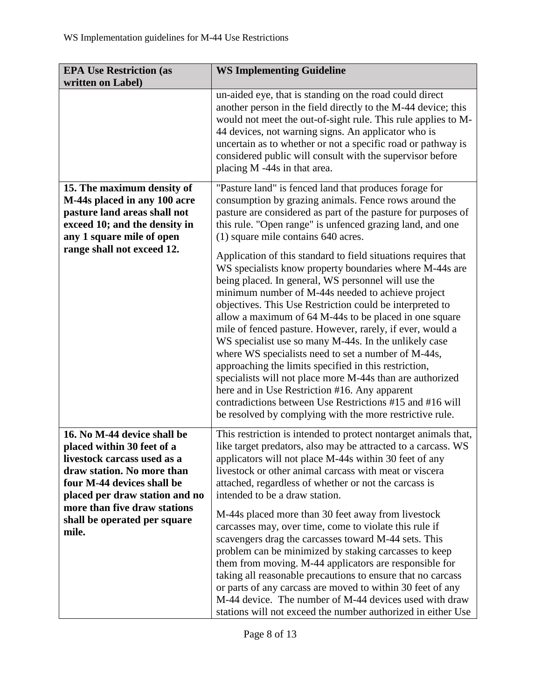| <b>EPA Use Restriction (as</b><br>written on Label)                                                                                                                                    | <b>WS Implementing Guideline</b>                                                                                                                                                                                                                                                                                                                                                                                                                                                                                                                                                                                                                                                                                                                                                                                                        |
|----------------------------------------------------------------------------------------------------------------------------------------------------------------------------------------|-----------------------------------------------------------------------------------------------------------------------------------------------------------------------------------------------------------------------------------------------------------------------------------------------------------------------------------------------------------------------------------------------------------------------------------------------------------------------------------------------------------------------------------------------------------------------------------------------------------------------------------------------------------------------------------------------------------------------------------------------------------------------------------------------------------------------------------------|
|                                                                                                                                                                                        | un-aided eye, that is standing on the road could direct<br>another person in the field directly to the M-44 device; this<br>would not meet the out-of-sight rule. This rule applies to M-<br>44 devices, not warning signs. An applicator who is<br>uncertain as to whether or not a specific road or pathway is<br>considered public will consult with the supervisor before<br>placing M -44s in that area.                                                                                                                                                                                                                                                                                                                                                                                                                           |
| 15. The maximum density of<br>M-44s placed in any 100 acre<br>pasture land areas shall not<br>exceed 10; and the density in<br>any 1 square mile of open<br>range shall not exceed 12. | "Pasture land" is fenced land that produces forage for<br>consumption by grazing animals. Fence rows around the<br>pasture are considered as part of the pasture for purposes of<br>this rule. "Open range" is unfenced grazing land, and one<br>(1) square mile contains 640 acres.                                                                                                                                                                                                                                                                                                                                                                                                                                                                                                                                                    |
|                                                                                                                                                                                        | Application of this standard to field situations requires that<br>WS specialists know property boundaries where M-44s are<br>being placed. In general, WS personnel will use the<br>minimum number of M-44s needed to achieve project<br>objectives. This Use Restriction could be interpreted to<br>allow a maximum of 64 M-44s to be placed in one square<br>mile of fenced pasture. However, rarely, if ever, would a<br>WS specialist use so many M-44s. In the unlikely case<br>where WS specialists need to set a number of M-44s,<br>approaching the limits specified in this restriction,<br>specialists will not place more M-44s than are authorized<br>here and in Use Restriction #16. Any apparent<br>contradictions between Use Restrictions #15 and #16 will<br>be resolved by complying with the more restrictive rule. |
| 16. No M-44 device shall be<br>placed within 30 feet of a<br>livestock carcass used as a<br>draw station. No more than<br>four M-44 devices shall be<br>placed per draw station and no | This restriction is intended to protect nontarget animals that,<br>like target predators, also may be attracted to a carcass. WS<br>applicators will not place M-44s within 30 feet of any<br>livestock or other animal carcass with meat or viscera<br>attached, regardless of whether or not the carcass is<br>intended to be a draw station.                                                                                                                                                                                                                                                                                                                                                                                                                                                                                         |
| more than five draw stations<br>shall be operated per square<br>mile.                                                                                                                  | M-44s placed more than 30 feet away from livestock<br>carcasses may, over time, come to violate this rule if<br>scavengers drag the carcasses toward M-44 sets. This<br>problem can be minimized by staking carcasses to keep<br>them from moving. M-44 applicators are responsible for<br>taking all reasonable precautions to ensure that no carcass<br>or parts of any carcass are moved to within 30 feet of any<br>M-44 device. The number of M-44 devices used with draw<br>stations will not exceed the number authorized in either Use                                                                                                                                                                                                                                                                                          |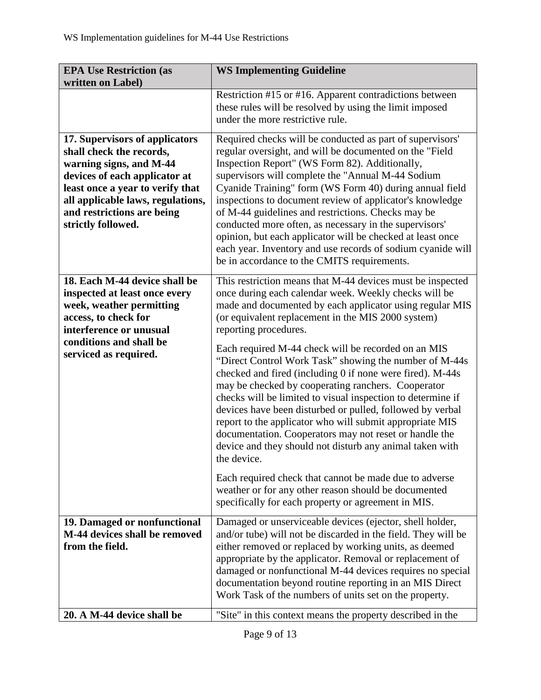| <b>EPA Use Restriction (as</b><br>written on Label)                                                                                                                                                                                                 | <b>WS Implementing Guideline</b>                                                                                                                                                                                                                                                                                                                                                                                                                                                                                                                                                                                                                                                                                                                                                                                                                                                          |
|-----------------------------------------------------------------------------------------------------------------------------------------------------------------------------------------------------------------------------------------------------|-------------------------------------------------------------------------------------------------------------------------------------------------------------------------------------------------------------------------------------------------------------------------------------------------------------------------------------------------------------------------------------------------------------------------------------------------------------------------------------------------------------------------------------------------------------------------------------------------------------------------------------------------------------------------------------------------------------------------------------------------------------------------------------------------------------------------------------------------------------------------------------------|
|                                                                                                                                                                                                                                                     | Restriction #15 or #16. Apparent contradictions between<br>these rules will be resolved by using the limit imposed<br>under the more restrictive rule.                                                                                                                                                                                                                                                                                                                                                                                                                                                                                                                                                                                                                                                                                                                                    |
| 17. Supervisors of applicators<br>shall check the records,<br>warning signs, and M-44<br>devices of each applicator at<br>least once a year to verify that<br>all applicable laws, regulations,<br>and restrictions are being<br>strictly followed. | Required checks will be conducted as part of supervisors'<br>regular oversight, and will be documented on the "Field<br>Inspection Report" (WS Form 82). Additionally,<br>supervisors will complete the "Annual M-44 Sodium<br>Cyanide Training" form (WS Form 40) during annual field<br>inspections to document review of applicator's knowledge<br>of M-44 guidelines and restrictions. Checks may be<br>conducted more often, as necessary in the supervisors'<br>opinion, but each applicator will be checked at least once<br>each year. Inventory and use records of sodium cyanide will<br>be in accordance to the CMITS requirements.                                                                                                                                                                                                                                            |
| 18. Each M-44 device shall be<br>inspected at least once every<br>week, weather permitting<br>access, to check for<br>interference or unusual<br>conditions and shall be<br>serviced as required.                                                   | This restriction means that M-44 devices must be inspected<br>once during each calendar week. Weekly checks will be<br>made and documented by each applicator using regular MIS<br>(or equivalent replacement in the MIS 2000 system)<br>reporting procedures.<br>Each required M-44 check will be recorded on an MIS<br>"Direct Control Work Task" showing the number of M-44s<br>checked and fired (including 0 if none were fired). M-44s<br>may be checked by cooperating ranchers. Cooperator<br>checks will be limited to visual inspection to determine if<br>devices have been disturbed or pulled, followed by verbal<br>report to the applicator who will submit appropriate MIS<br>documentation. Cooperators may not reset or handle the<br>device and they should not disturb any animal taken with<br>the device.<br>Each required check that cannot be made due to adverse |
|                                                                                                                                                                                                                                                     | weather or for any other reason should be documented<br>specifically for each property or agreement in MIS.                                                                                                                                                                                                                                                                                                                                                                                                                                                                                                                                                                                                                                                                                                                                                                               |
| 19. Damaged or nonfunctional<br>M-44 devices shall be removed<br>from the field.                                                                                                                                                                    | Damaged or unserviceable devices (ejector, shell holder,<br>and/or tube) will not be discarded in the field. They will be<br>either removed or replaced by working units, as deemed<br>appropriate by the applicator. Removal or replacement of<br>damaged or nonfunctional M-44 devices requires no special<br>documentation beyond routine reporting in an MIS Direct<br>Work Task of the numbers of units set on the property.                                                                                                                                                                                                                                                                                                                                                                                                                                                         |
| 20. A M-44 device shall be                                                                                                                                                                                                                          | "Site" in this context means the property described in the                                                                                                                                                                                                                                                                                                                                                                                                                                                                                                                                                                                                                                                                                                                                                                                                                                |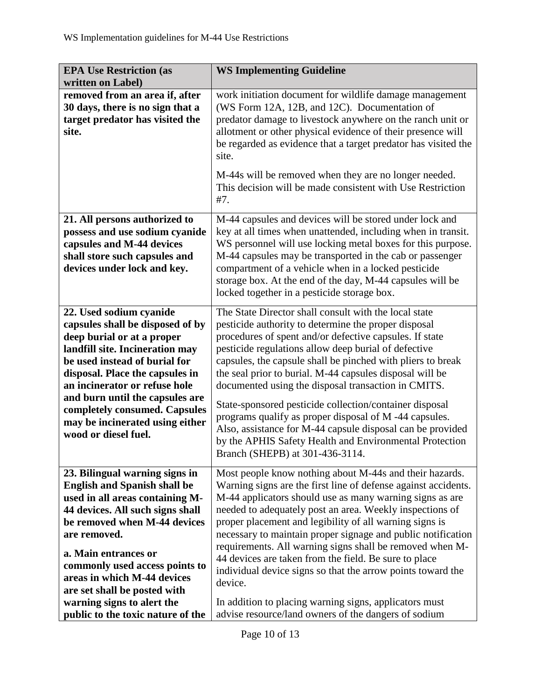| written on Label)<br>work initiation document for wildlife damage management<br>removed from an area if, after<br>30 days, there is no sign that a<br>(WS Form 12A, 12B, and 12C). Documentation of<br>target predator has visited the<br>predator damage to livestock anywhere on the ranch unit or<br>allotment or other physical evidence of their presence will<br>site.                                                                                                                                                                                                                                                                                                                                                                                                                                                                                                                                                                                                                                                                                                              | be regarded as evidence that a target predator has visited the |
|-------------------------------------------------------------------------------------------------------------------------------------------------------------------------------------------------------------------------------------------------------------------------------------------------------------------------------------------------------------------------------------------------------------------------------------------------------------------------------------------------------------------------------------------------------------------------------------------------------------------------------------------------------------------------------------------------------------------------------------------------------------------------------------------------------------------------------------------------------------------------------------------------------------------------------------------------------------------------------------------------------------------------------------------------------------------------------------------|----------------------------------------------------------------|
| site.<br>M-44s will be removed when they are no longer needed.<br>This decision will be made consistent with Use Restriction<br>#7.                                                                                                                                                                                                                                                                                                                                                                                                                                                                                                                                                                                                                                                                                                                                                                                                                                                                                                                                                       |                                                                |
| M-44 capsules and devices will be stored under lock and<br>21. All persons authorized to<br>key at all times when unattended, including when in transit.<br>possess and use sodium cyanide<br>WS personnel will use locking metal boxes for this purpose.<br>capsules and M-44 devices<br>M-44 capsules may be transported in the cab or passenger<br>shall store such capsules and<br>devices under lock and key.<br>compartment of a vehicle when in a locked pesticide<br>storage box. At the end of the day, M-44 capsules will be<br>locked together in a pesticide storage box.                                                                                                                                                                                                                                                                                                                                                                                                                                                                                                     |                                                                |
| The State Director shall consult with the local state<br>22. Used sodium cyanide<br>capsules shall be disposed of by<br>pesticide authority to determine the proper disposal<br>procedures of spent and/or defective capsules. If state<br>deep burial or at a proper<br>landfill site. Incineration may<br>pesticide regulations allow deep burial of defective<br>be used instead of burial for<br>capsules, the capsule shall be pinched with pliers to break<br>the seal prior to burial. M-44 capsules disposal will be<br>disposal. Place the capsules in<br>an incinerator or refuse hole<br>documented using the disposal transaction in CMITS.<br>and burn until the capsules are<br>State-sponsored pesticide collection/container disposal<br>completely consumed. Capsules<br>programs qualify as proper disposal of M-44 capsules.<br>may be incinerated using either<br>Also, assistance for M-44 capsule disposal can be provided<br>wood or diesel fuel.<br>by the APHIS Safety Health and Environmental Protection<br>Branch (SHEPB) at 301-436-3114.                    |                                                                |
| Most people know nothing about M-44s and their hazards.<br>23. Bilingual warning signs in<br>Warning signs are the first line of defense against accidents.<br><b>English and Spanish shall be</b><br>M-44 applicators should use as many warning signs as are<br>used in all areas containing M-<br>needed to adequately post an area. Weekly inspections of<br>44 devices. All such signs shall<br>proper placement and legibility of all warning signs is<br>be removed when M-44 devices<br>necessary to maintain proper signage and public notification<br>are removed.<br>requirements. All warning signs shall be removed when M-<br>a. Main entrances or<br>44 devices are taken from the field. Be sure to place<br>commonly used access points to<br>individual device signs so that the arrow points toward the<br>areas in which M-44 devices<br>device.<br>are set shall be posted with<br>warning signs to alert the<br>In addition to placing warning signs, applicators must<br>advise resource/land owners of the dangers of sodium<br>public to the toxic nature of the |                                                                |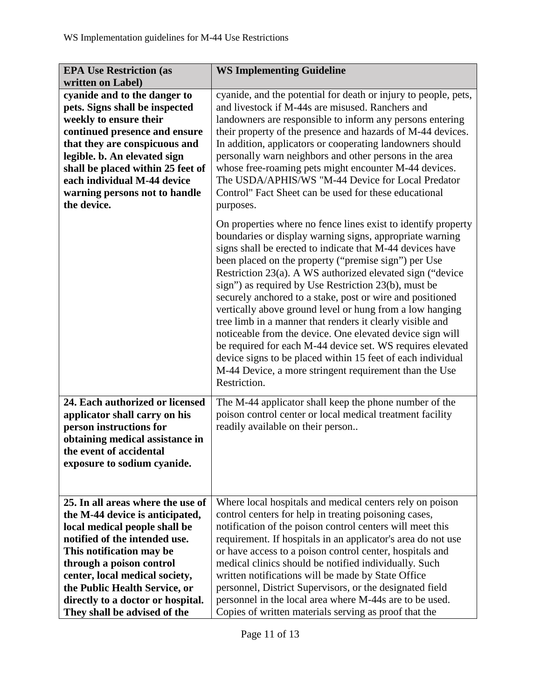| <b>EPA Use Restriction (as</b>                                                                                                                                                             | <b>WS Implementing Guideline</b>                                                                                                                                                                                                                                                                                                                                                                                                                                                                                                                                                                                                                                                                                                                                                                                              |
|--------------------------------------------------------------------------------------------------------------------------------------------------------------------------------------------|-------------------------------------------------------------------------------------------------------------------------------------------------------------------------------------------------------------------------------------------------------------------------------------------------------------------------------------------------------------------------------------------------------------------------------------------------------------------------------------------------------------------------------------------------------------------------------------------------------------------------------------------------------------------------------------------------------------------------------------------------------------------------------------------------------------------------------|
| written on Label)                                                                                                                                                                          |                                                                                                                                                                                                                                                                                                                                                                                                                                                                                                                                                                                                                                                                                                                                                                                                                               |
| cyanide and to the danger to<br>pets. Signs shall be inspected<br>weekly to ensure their<br>continued presence and ensure<br>that they are conspicuous and<br>legible. b. An elevated sign | cyanide, and the potential for death or injury to people, pets,<br>and livestock if M-44s are misused. Ranchers and<br>landowners are responsible to inform any persons entering<br>their property of the presence and hazards of M-44 devices.<br>In addition, applicators or cooperating landowners should<br>personally warn neighbors and other persons in the area                                                                                                                                                                                                                                                                                                                                                                                                                                                       |
| shall be placed within 25 feet of<br>each individual M-44 device<br>warning persons not to handle<br>the device.                                                                           | whose free-roaming pets might encounter M-44 devices.<br>The USDA/APHIS/WS "M-44 Device for Local Predator<br>Control" Fact Sheet can be used for these educational<br>purposes.                                                                                                                                                                                                                                                                                                                                                                                                                                                                                                                                                                                                                                              |
|                                                                                                                                                                                            | On properties where no fence lines exist to identify property<br>boundaries or display warning signs, appropriate warning<br>signs shall be erected to indicate that M-44 devices have<br>been placed on the property ("premise sign") per Use<br>Restriction 23(a). A WS authorized elevated sign ("device<br>sign") as required by Use Restriction 23(b), must be<br>securely anchored to a stake, post or wire and positioned<br>vertically above ground level or hung from a low hanging<br>tree limb in a manner that renders it clearly visible and<br>noticeable from the device. One elevated device sign will<br>be required for each M-44 device set. WS requires elevated<br>device signs to be placed within 15 feet of each individual<br>M-44 Device, a more stringent requirement than the Use<br>Restriction. |
| 24. Each authorized or licensed<br>applicator shall carry on his<br>person instructions for<br>obtaining medical assistance in<br>the event of accidental<br>exposure to sodium cyanide.   | The M-44 applicator shall keep the phone number of the<br>poison control center or local medical treatment facility<br>readily available on their person                                                                                                                                                                                                                                                                                                                                                                                                                                                                                                                                                                                                                                                                      |
| 25. In all areas where the use of                                                                                                                                                          | Where local hospitals and medical centers rely on poison                                                                                                                                                                                                                                                                                                                                                                                                                                                                                                                                                                                                                                                                                                                                                                      |
| the M-44 device is anticipated,                                                                                                                                                            | control centers for help in treating poisoning cases,                                                                                                                                                                                                                                                                                                                                                                                                                                                                                                                                                                                                                                                                                                                                                                         |
| local medical people shall be                                                                                                                                                              | notification of the poison control centers will meet this                                                                                                                                                                                                                                                                                                                                                                                                                                                                                                                                                                                                                                                                                                                                                                     |
| notified of the intended use.                                                                                                                                                              | requirement. If hospitals in an applicator's area do not use                                                                                                                                                                                                                                                                                                                                                                                                                                                                                                                                                                                                                                                                                                                                                                  |
| This notification may be                                                                                                                                                                   | or have access to a poison control center, hospitals and                                                                                                                                                                                                                                                                                                                                                                                                                                                                                                                                                                                                                                                                                                                                                                      |
| through a poison control                                                                                                                                                                   | medical clinics should be notified individually. Such                                                                                                                                                                                                                                                                                                                                                                                                                                                                                                                                                                                                                                                                                                                                                                         |
| center, local medical society,                                                                                                                                                             | written notifications will be made by State Office                                                                                                                                                                                                                                                                                                                                                                                                                                                                                                                                                                                                                                                                                                                                                                            |
| the Public Health Service, or                                                                                                                                                              | personnel, District Supervisors, or the designated field                                                                                                                                                                                                                                                                                                                                                                                                                                                                                                                                                                                                                                                                                                                                                                      |
| directly to a doctor or hospital.                                                                                                                                                          | personnel in the local area where M-44s are to be used.                                                                                                                                                                                                                                                                                                                                                                                                                                                                                                                                                                                                                                                                                                                                                                       |
| They shall be advised of the                                                                                                                                                               | Copies of written materials serving as proof that the                                                                                                                                                                                                                                                                                                                                                                                                                                                                                                                                                                                                                                                                                                                                                                         |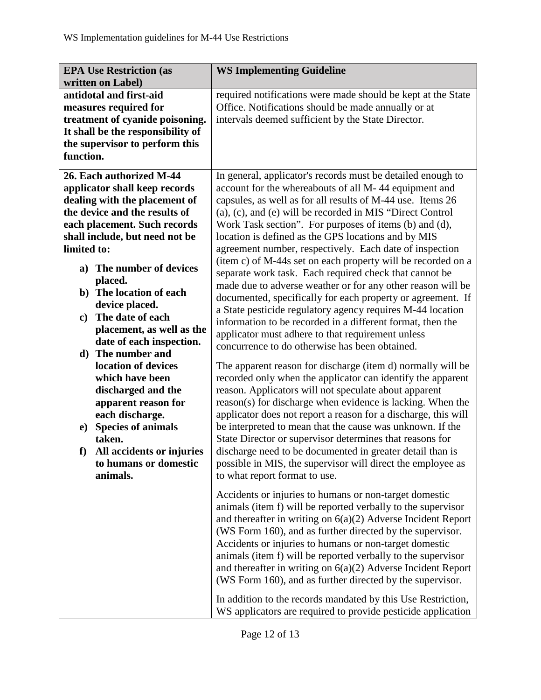| <b>EPA Use Restriction (as</b>        | <b>WS Implementing Guideline</b>                               |
|---------------------------------------|----------------------------------------------------------------|
| written on Label)                     |                                                                |
| antidotal and first-aid               | required notifications were made should be kept at the State   |
| measures required for                 | Office. Notifications should be made annually or at            |
| treatment of cyanide poisoning.       | intervals deemed sufficient by the State Director.             |
| It shall be the responsibility of     |                                                                |
| the supervisor to perform this        |                                                                |
| function.                             |                                                                |
| 26. Each authorized M-44              | In general, applicator's records must be detailed enough to    |
| applicator shall keep records         | account for the whereabouts of all M-44 equipment and          |
| dealing with the placement of         | capsules, as well as for all results of M-44 use. Items 26     |
| the device and the results of         | (a), (c), and (e) will be recorded in MIS "Direct Control      |
| each placement. Such records          | Work Task section". For purposes of items (b) and (d),         |
| shall include, but need not be        | location is defined as the GPS locations and by MIS            |
| limited to:                           | agreement number, respectively. Each date of inspection        |
|                                       | (item c) of M-44s set on each property will be recorded on a   |
| The number of devices<br>a)           | separate work task. Each required check that cannot be         |
| placed.                               | made due to adverse weather or for any other reason will be    |
| b) The location of each               | documented, specifically for each property or agreement. If    |
| device placed.                        | a State pesticide regulatory agency requires M-44 location     |
| The date of each<br>$\mathbf{c}$      | information to be recorded in a different format, then the     |
| placement, as well as the             | applicator must adhere to that requirement unless              |
| date of each inspection.              | concurrence to do otherwise has been obtained.                 |
| d) The number and                     |                                                                |
| location of devices                   | The apparent reason for discharge (item d) normally will be    |
| which have been                       | recorded only when the applicator can identify the apparent    |
| discharged and the                    | reason. Applicators will not speculate about apparent          |
| apparent reason for                   | reason(s) for discharge when evidence is lacking. When the     |
| each discharge.                       | applicator does not report a reason for a discharge, this will |
| <b>Species of animals</b><br>$\bf e)$ | be interpreted to mean that the cause was unknown. If the      |
| taken.                                | State Director or supervisor determines that reasons for       |
| All accidents or injuries<br>f        | discharge need to be documented in greater detail than is      |
| to humans or domestic                 | possible in MIS, the supervisor will direct the employee as    |
| animals.                              | to what report format to use.                                  |
|                                       |                                                                |
|                                       | Accidents or injuries to humans or non-target domestic         |
|                                       | animals (item f) will be reported verbally to the supervisor   |
|                                       | and thereafter in writing on $6(a)(2)$ Adverse Incident Report |
|                                       | (WS Form 160), and as further directed by the supervisor.      |
|                                       | Accidents or injuries to humans or non-target domestic         |
|                                       | animals (item f) will be reported verbally to the supervisor   |
|                                       | and thereafter in writing on $6(a)(2)$ Adverse Incident Report |
|                                       | (WS Form 160), and as further directed by the supervisor.      |
|                                       |                                                                |
|                                       | In addition to the records mandated by this Use Restriction,   |
|                                       | WS applicators are required to provide pesticide application   |